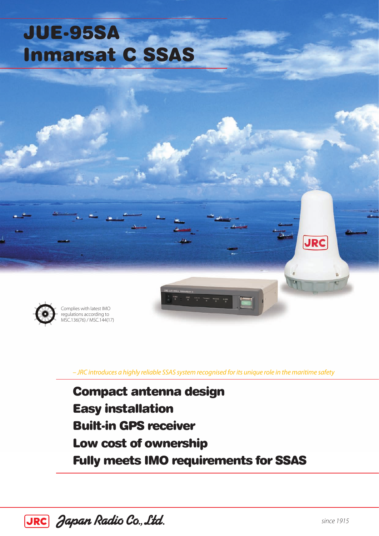# JUE-95SA Inmarsat C SSAS



Complies with latest IMO regulations according to MSC.136(76) / MSC.144(17)

*– JRC introduces a highly reliable SSAS system recognised for its unique role in the maritime safety*

Compact antenna design Easy installation Built-in GPS receiver Low cost of ownership Fully meets IMO requirements for SSAS



**JRC**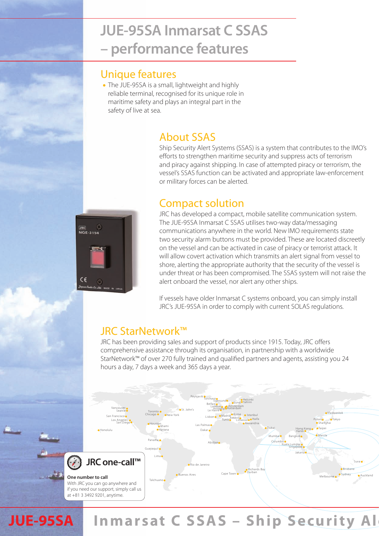### **JUE-95SA Inmarsat C SSAS – performance features**

#### Unique features

The JUE-95SA is a small, lightweight and highly reliable terminal, recognised for its unique role in maritime safety and plays an integral part in the safety of live at sea.

### About SSAS

Ship Security Alert Systems (SSAS) is a system that contributes to the IMO's efforts to strengthen maritime security and suppress acts of terrorism and piracy against shipping. In case of attempted piracy or terrorism, the vessel's SSAS function can be activated and appropriate law-enforcement or military forces can be alerted.

#### Compact solution

**JRC**<br>NQE-3154  $\circ$  JRC has developed a compact, mobile satellite communication system. The JUE-95SA Inmarsat C SSAS utilises two-way data/messaging communications anywhere in the world. New IMO requirements state two security alarm buttons must be provided. These are located discreetly on the vessel and can be activated in case of piracy or terrorist attack. It will allow covert activation which transmits an alert signal from vessel to shore, alerting the appropriate authority that the security of the vessel is under threat or has been compromised. The SSAS system will not raise the alert onboard the vessel, nor alert any other ships.

If vessels have older Inmarsat C systems onboard, you can simply install JRC's JUE-95SA in order to comply with current SOLAS regulations.

#### JRC StarNetwork™

JRC has been providing sales and support of products since 1915. Today, JRC offers comprehensive assistance through its organisation, in partnership with a worldwide StarNetwork™ of over 270 fully trained and qualified partners and agents, assisting you 24 hours a day, 7 days a week and 365 days a year.



## **JUE-95SA** Inmarsat C SSAS - Ship Security Al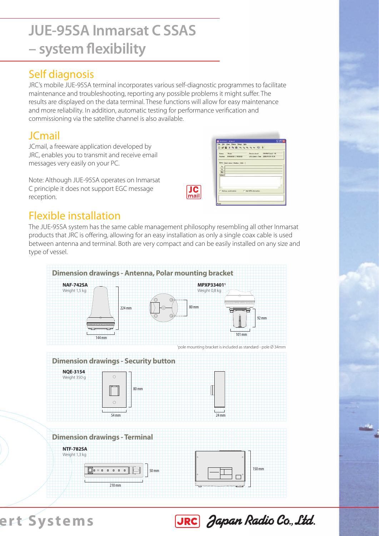# **JUE-95SA Inmarsat C SSAS – system flexibility**

### Self diagnosis

JRC's mobile JUE-95SA terminal incorporates various self-diagnostic programmes to facilitate maintenance and troubleshooting, reporting any possible problems it might suffer. The results are displayed on the data terminal. These functions will allow for easy maintenance and more reliability. In addition, automatic testing for performance verification and commissioning via the satellite channel is also available.

### JCmail

JCmail, a freeware application developed by JRC, enables you to transmit and receive email messages very easily on your PC.

Note: Although JUE-95SA operates on Inmarsat C principle it does not support EGC message reception.

| 'n |  |
|----|--|

|                                                            | Pacence level  . SACPIVE Good - 15 |
|------------------------------------------------------------|------------------------------------|
| Pesition N'003830 E1800000 UTC Date 8 Time 2005/01/01 0124 |                                    |
|                                                            |                                    |
|                                                            |                                    |
|                                                            |                                    |
|                                                            |                                    |
|                                                            |                                    |
|                                                            |                                    |
|                                                            |                                    |
|                                                            |                                    |
|                                                            |                                    |
|                                                            |                                    |
|                                                            |                                    |
|                                                            |                                    |
|                                                            |                                    |
|                                                            | Editor   Sunt Anna   Malbor   EGC  |

### Flexible installation

The JUE-95SA system has the same cable management philosophy resembling all other Inmarsat products that JRC is offering, allowing for an easy installation as only a single coax cable is used between antenna and terminal. Both are very compact and can be easily installed on any size and type of vessel.



ert Systems



JRC Japan Radio Co., Ltd.